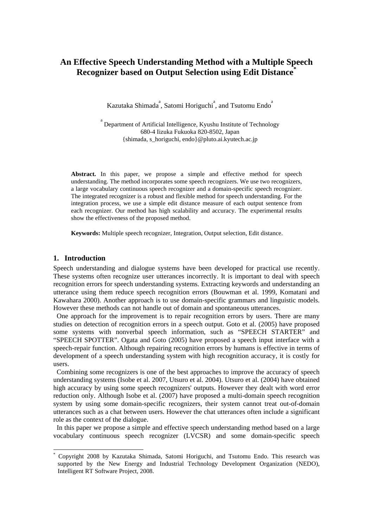# **An Effective Speech Understanding Method with a Multiple Speech Recognizer based on Output Selection using Edit Distance\***

Kazutaka Shimada<sup>a</sup>, Satomi Horiguchi<sup>a</sup>, and Tsutomu Endo<sup>a</sup>

a Department of Artificial Intelligence, Kyushu Institute of Technology 680-4 Iizuka Fukuoka 820-8502, Japan {shimada, s\_horiguchi, endo}@pluto.ai.kyutech.ac.jp

**Abstract.** In this paper, we propose a simple and effective method for speech understanding. The method incorporates some speech recognizers. We use two recognizers, a large vocabulary continuous speech recognizer and a domain-specific speech recognizer. The integrated recognizer is a robust and flexible method for speech understanding. For the integration process, we use a simple edit distance measure of each output sentence from each recognizer. Our method has high scalability and accuracy. The experimental results show the effectiveness of the proposed method.

**Keywords:** Multiple speech recognizer, Integration, Output selection, Edit distance.

### **1. Introduction**

-

Speech understanding and dialogue systems have been developed for practical use recently. These systems often recognize user utterances incorrectly. It is important to deal with speech recognition errors for speech understanding systems. Extracting keywords and understanding an utterance using them reduce speech recognition errors (Bouwman et al. 1999, Komatani and Kawahara 2000). Another approach is to use domain-specific grammars and linguistic models. However these methods can not handle out of domain and spontaneous utterances.

One approach for the improvement is to repair recognition errors by users. There are many studies on detection of recognition errors in a speech output. Goto et al. (2005) have proposed some systems with nonverbal speech information, such as "SPEECH STARTER" and "SPEECH SPOTTER". Ogata and Goto (2005) have proposed a speech input interface with a speech-repair function. Although repairing recognition errors by humans is effective in terms of development of a speech understanding system with high recognition accuracy, it is costly for users.

Combining some recognizers is one of the best approaches to improve the accuracy of speech understanding systems (Isobe et al. 2007, Utsuro et al. 2004). Utsuro et al. (2004) have obtained high accuracy by using some speech recognizers' outputs. However they dealt with word error reduction only. Although Isobe et al. (2007) have proposed a multi-domain speech recognition system by using some domain-specific recognizers, their system cannot treat out-of-domain utterances such as a chat between users. However the chat utterances often include a significant role as the context of the dialogue.

In this paper we propose a simple and effective speech understanding method based on a large vocabulary continuous speech recognizer (LVCSR) and some domain-specific speech

<sup>\*</sup> Copyright 2008 by Kazutaka Shimada, Satomi Horiguchi, and Tsutomu Endo. This research was supported by the New Energy and Industrial Technology Development Organization (NEDO), Intelligent RT Software Project, 2008.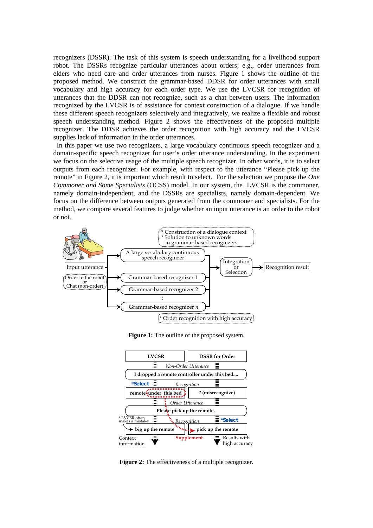recognizers (DSSR). The task of this system is speech understanding for a livelihood support robot. The DSSRs recognize particular utterances about orders; e.g., order utterances from elders who need care and order utterances from nurses. Figure 1 shows the outline of the proposed method. We construct the grammar-based DDSR for order utterances with small vocabulary and high accuracy for each order type. We use the LVCSR for recognition of utterances that the DDSR can not recognize, such as a chat between users. The information recognized by the LVCSR is of assistance for context construction of a dialogue. If we handle these different speech recognizers selectively and integratively, we realize a flexible and robust speech understanding method. Figure 2 shows the effectiveness of the proposed multiple recognizer. The DDSR achieves the order recognition with high accuracy and the LVCSR supplies lack of information in the order utterances.

In this paper we use two recognizers, a large vocabulary continuous speech recognizer and a domain-specific speech recognizer for user's order utterance understanding. In the experiment we focus on the selective usage of the multiple speech recognizer. In other words, it is to select outputs from each recognizer. For example, with respect to the utterance "Please pick up the remote" in Figure 2, it is important which result to select. For the selection we propose the *One Commoner and Some Specialists* (OCSS) model. In our system, the LVCSR is the commoner, namely domain-independent, and the DSSRs are specialists, namely domain-dependent. We focus on the difference between outputs generated from the commoner and specialists. For the method, we compare several features to judge whether an input utterance is an order to the robot or not.



**Figure 1:** The outline of the proposed system.



**Figure 2:** The effectiveness of a multiple recognizer.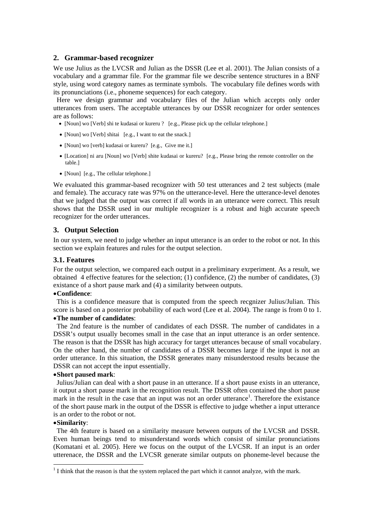### **2. Grammar-based recognizer**

We use Julius as the LVCSR and Julian as the DSSR (Lee et al. 2001). The Julian consists of a vocabulary and a grammar file. For the grammar file we describe sentence structures in a BNF style, using word category names as terminate symbols. The vocabulary file defines words with its pronunciations (i.e., phoneme sequences) for each category.

Here we design grammar and vocabulary files of the Julian which accepts only order utterances from users. The acceptable utterances by our DSSR recognizer for order sentences are as follows:

- [Noun] wo [Verb] shi te kudasai or kureru ? [e.g., Please pick up the cellular telephone.]
- [Noun] wo [Verb] shitai [e.g., I want to eat the snack.]
- [Noun] wo [verb] kudasai or kureru? [e.g., Give me it.]
- [Location] ni aru [Noun] wo [Verb] shite kudasai or kureru? [e.g., Please bring the remote controller on the table.]
- [Noun] [e.g., The cellular telephone.]

We evaluated this grammar-based recognizer with 50 test utterances and 2 test subjects (male and female). The accuracy rate was 97% on the utterance-level. Here the utterance-level denotes that we judged that the output was correct if all words in an utterance were correct. This result shows that the DSSR used in our multiple recognizer is a robust and high accurate speech recognizer for the order utterances.

### **3. Output Selection**

In our system, we need to judge whether an input utterance is an order to the robot or not. In this section we explain features and rules for the output selection.

### **3.1. Features**

For the output selection, we compared each output in a preliminary exrperiment. As a result, we obtained 4 effective features for the selection; (1) confidence, (2) the number of candidates, (3) existance of a short pause mark and (4) a similarity between outputs.

### •**Confidence**:

This is a confidence measure that is computed from the speech recgnizer Julius/Julian. This score is based on a posterior probability of each word (Lee et al. 2004). The range is from 0 to 1.

# •**The number of candidates**:

The 2nd feature is the number of candidates of each DSSR. The number of candidates in a DSSR's output usually becomes small in the case that an input utterance is an order sentence. The reason is that the DSSR has high accuracy for target utterances because of small vocabulary. On the other hand, the number of candidates of a DSSR becomes large if the input is not an order utterance. In this situation, the DSSR generates many misunderstood results because the DSSR can not accept the input essentially.

### •**Short paused mark**:

Julius/Julian can deal with a short pause in an utterance. If a short pause exists in an utterance, it output a short pause mark in the recognition result. The DSSR often contained the short pause mark in the result in the case that an input was not an order utterance<sup>1</sup>. Therefore the existance of the short pause mark in the output of the DSSR is effective to judge whether a input utterance is an order to the robot or not.

#### •**Similarity**:

-

The 4th feature is based on a similarity measure between outputs of the LVCSR and DSSR. Even human beings tend to misunderstand words which consist of similar pronunciations (Komatani et al. 2005). Here we focus on the output of the LVCSR. If an input is an order utterenace, the DSSR and the LVCSR generate similar outputs on phoneme-level because the

 $<sup>1</sup>$  I think that the reason is that the system replaced the part which it cannot analyze, with the mark.</sup>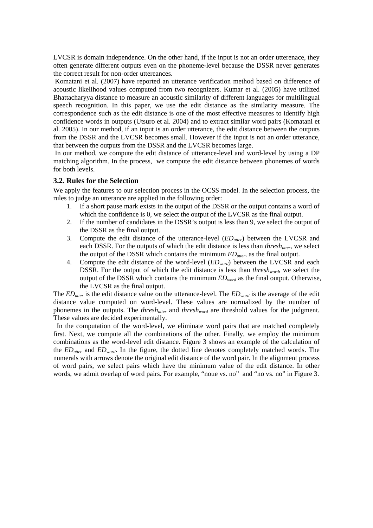LVCSR is domain independence. On the other hand, if the input is not an order utterenace, they often generate different outputs even on the phoneme-level because the DSSR never generates the correct result for non-order uttereances.

 Komatani et al. (2007) have reported an utterance verification method based on difference of acoustic likelihood values computed from two recognizers. Kumar et al. (2005) have utilized Bhattacharyya distance to measure an acoustic similarity of different languages for multilingual speech recognition. In this paper, we use the edit distance as the similarity measure. The correspondence such as the edit distance is one of the most effective measures to identify high confidence words in outputs (Utsuro et al. 2004) and to extract similar word pairs (Komatani et al. 2005). In our method, if an input is an order utterance, the edit distance between the outputs from the DSSR and the LVCSR becomes small. However if the input is not an order utterance, that between the outputs from the DSSR and the LVCSR becomes large.

 In our method, we compute the edit distance of utterance-level and word-level by using a DP matching algorithm. In the process, we compute the edit distance between phonemes of words for both levels.

## **3.2. Rules for the Selection**

We apply the features to our selection process in the OCSS model. In the selection process, the rules to judge an utterance are applied in the following order:

- 1. If a short pause mark exists in the output of the DSSR or the output contains a word of which the confidence is 0, we select the output of the LVCSR as the final output.
- 2. If the number of candidates in the DSSR's output is less than 9, we select the output of the DSSR as the final output.
- 3. Compute the edit distance of the utterance-level (*EDutter*) between the LVCSR and each DSSR. For the outputs of which the edit distance is less than *threshutter*, we select the output of the DSSR which contains the minimum *EDutter*, as the final output.
- 4. Compute the edit distance of the word-level (*EDword*) between the LVCSR and each DSSR. For the output of which the edit distance is less than *thresh<sub>word</sub>*, we select the output of the DSSR which contains the minimum *EDword* as the final output. Otherwise, the LVCSR as the final output.

The *EDutter* is the edit distance value on the utterance-level. The *EDword* is the average of the edit distance value computed on word-level. These values are normalized by the number of phonemes in the outputs. The *thresh<sub>utter</sub>* and *thresh<sub>word</sub>* are threshold values for the judgment. These values are decided experimentally.

In the computation of the word-level, we eliminate word pairs that are matched completely first. Next, we compute all the combinations of the other. Finally, we employ the minimum combinations as the word-level edit distance. Figure 3 shows an example of the calculation of the *EDutter* and *EDword*. In the figure, the dotted line denotes completely matched words. The numerals with arrows denote the original edit distance of the word pair. In the alignment process of word pairs, we select pairs which have the minimum value of the edit distance. In other words, we admit overlap of word pairs. For example, "noue vs. no" and "no vs. no" in Figure 3.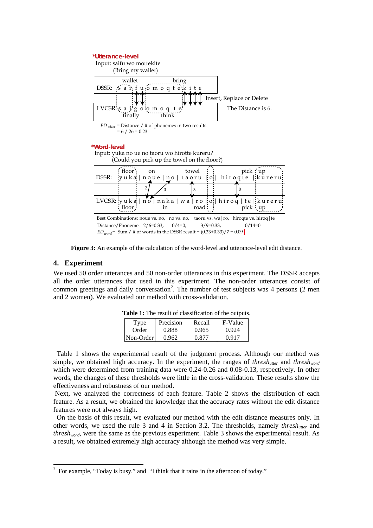

**Figure 3:** An example of the calculation of the word-level and utterance-level edit distance.

### **4. Experiment**

-

We used 50 order utterances and 50 non-order utterances in this experiment. The DSSR accepts all the order utterances that used in this experiment. The non-order utterances consist of common greetings and daily conversation<sup>2</sup>. The number of test subjects was 4 persons (2 men and 2 women). We evaluated our method with cross-validation.

| Type      | Precision | Recall | F-Value |
|-----------|-----------|--------|---------|
| Order     | 0.888     | 0.965  | 0.924   |
| Non-Order | 0.962     | በ 877  | በ 917   |

**Table 1:** The result of classification of the outputs.

Table 1 shows the experimental result of the judgment process. Although our method was simple, we obtained high accuracy. In the experiment, the ranges of *thresh<sub>wter</sub>* and *thresh<sub>word</sub>* which were determined from training data were 0.24-0.26 and 0.08-0.13, respectively. In other words, the changes of these thresholds were little in the cross-validation. These results show the effectiveness and robustness of our method.

 Next, we analyzed the correctness of each feature. Table 2 shows the distribution of each feature. As a result, we obtained the knowledge that the accuracy rates without the edit distance features were not always high.

On the basis of this result, we evaluated our method with the edit distance measures only. In other words, we used the rule 3 and 4 in Section 3.2. The thresholds, namely *threshutter* and *threshword*, were the same as the previous experiment. Table 3 shows the experimental result. As a result, we obtained extremely high accuracy although the method was very simple.

<sup>&</sup>lt;sup>2</sup> For example, "Today is busy." and "I think that it rains in the afternoon of today."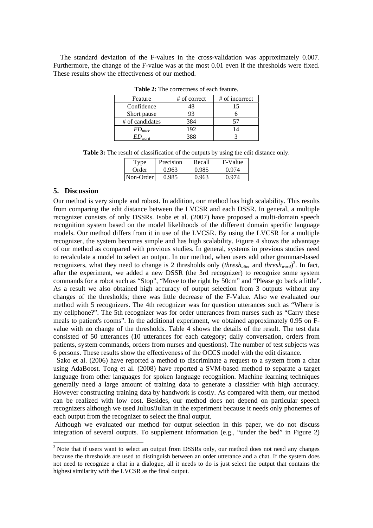The standard deviation of the F-values in the cross-validation was approximately 0.007. Furthermore, the change of the F-value was at the most 0.01 even if the thresholds were fixed. These results show the effectiveness of our method.

| <b>Table 2.</b> The correctifies of each reature. |              |                |  |  |  |  |
|---------------------------------------------------|--------------|----------------|--|--|--|--|
| Feature                                           | # of correct | # of incorrect |  |  |  |  |
| Confidence                                        | 48           |                |  |  |  |  |
| Short pause                                       | 93           |                |  |  |  |  |
| # of candidates                                   | 384          |                |  |  |  |  |
| $ED_{utter}$                                      | 192          |                |  |  |  |  |
| $ED_{word}$                                       | 388          |                |  |  |  |  |

**Table 2:** The correctness of each feature.

**Table 3:** The result of classification of the outputs by using the edit distance only.

| l'vne     | Precision | Recall | F-Value |
|-----------|-----------|--------|---------|
| Order     | 0.963     |        |         |
| Non-Order |           |        |         |

#### **5. Discussion**

-

Our method is very simple and robust. In addition, our method has high scalability. This results from comparing the edit distance between the LVCSR and each DSSR. In general, a multiple recognizer consists of only DSSRs. Isobe et al. (2007) have proposed a multi-domain speech recognition system based on the model likelihoods of the different domain specific language models. Our method differs from it in use of the LVCSR. By using the LVCSR for a multiple recognizer, the system becomes simple and has high scalability. Figure 4 shows the advantage of our method as compared with previous studies. In general, systems in previous studies need to recalculate a model to select an output. In our method, when users add other grammar-based recognizers, what they need to change is 2 thresholds only  $(thresh_{utter}$  and  $threshold_{word}^3$ . In fact, after the experiment, we added a new DSSR (the 3rd recognizer) to recognize some system commands for a robot such as "Stop", "Move to the right by 50cm" and "Please go back a little". As a result we also obtained high accuracy of output selection from 3 outputs without any changes of the thresholds; there was little decrease of the F-Value. Also we evaluated our method with 5 recognizers. The 4th recognizer was for question utterances such as "Where is my cellphone?". The 5th recognizer was for order utterances from nurses such as "Carry these meals to patient's rooms". In the additional experiment, we obtained approximately 0.95 on Fvalue with no change of the thresholds. Table 4 shows the details of the result. The test data consisted of 50 utterances (10 utterances for each category; daily conversation, orders from patients, system commands, orders from nurses and questions). The number of test subjects was 6 persons. These results show the effectiveness of the OCCS model with the edit distance.

Sako et al. (2006) have reported a method to discriminate a request to a system from a chat using AdaBoost. Tong et al. (2008) have reported a SVM-based method to separate a target language from other languages for spoken language recognition. Machine learning techniques generally need a large amount of training data to generate a classifier with high accuracy. However constructing training data by handwork is costly. As compared with them, our method can be realized with low cost. Besides, our method does not depend on particular speech recognizers although we used Julius/Julian in the experiment because it needs only phonemes of each output from the recognizer to select the final output.

 Although we evaluated our method for output selection in this paper, we do not discuss integration of several outputs. To supplement information (e.g., "under the bed" in Figure 2)

<sup>&</sup>lt;sup>3</sup> Note that if users want to select an output from DSSRs only, our method does not need any changes because the thresholds are used to distinguish between an order utterance and a chat. If the system does not need to recognize a chat in a dialogue, all it needs to do is just select the output that contains the highest similarity with the LVCSR as the final output.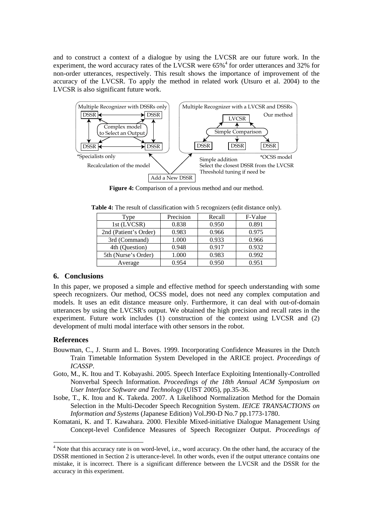and to construct a context of a dialogue by using the LVCSR are our future work. In the experiment, the word accuracy rates of the LVCSR were  $65\%$ <sup>4</sup> for order utterances and 32% for non-order utterances, respectively. This result shows the importance of improvement of the accuracy of the LVCSR. To apply the method in related work (Utsuro et al. 2004) to the LVCSR is also significant future work.



**Figure 4:** Comparison of a previous method and our method.

| Type                  | Precision | Recall | F-Value |
|-----------------------|-----------|--------|---------|
| 1st (LVCSR)           | 0.838     | 0.950  | 0.891   |
| 2nd (Patient's Order) | 0.983     | 0.966  | 0.975   |
| 3rd (Command)         | 1.000     | 0.933  | 0.966   |
| 4th (Question)        | 0.948     | 0.917  | 0.932   |
| 5th (Nurse's Order)   | 1.000     | 0.983  | 0.992   |
| Average               | 0.954     | 0.950  | 0.951   |

**Table 4:** The result of classification with 5 recognizers (edit distance only).

### **6. Conclusions**

In this paper, we proposed a simple and effective method for speech understanding with some speech recognizers. Our method, OCSS model, does not need any complex computation and models. It uses an edit distance measure only. Furthermore, it can deal with out-of-domain utterances by using the LVCSR's output. We obtained the high precision and recall rates in the experiment. Future work includes (1) construction of the context using LVCSR and (2) development of multi modal interface with other sensors in the robot.

### **References**

-

- Bouwman, C., J. Sturm and L. Boves. 1999. Incorporating Confidence Measures in the Dutch Train Timetable Information System Developed in the ARICE project. *Proceedings of ICASSP*.
- Goto, M., K. Itou and T. Kobayashi. 2005. Speech Interface Exploiting Intentionally-Controlled Nonverbal Speech Information. *Proceedings of the 18th Annual ACM Symposium on User Interface Software and Technology* (UIST 2005), pp.35-36.
- Isobe, T., K. Itou and K. Takeda. 2007. A Likelihood Normalization Method for the Domain Selection in the Multi-Decoder Speech Recognition System. *IEICE TRANSACTIONS on Information and Systems* (Japanese Edition) Vol.J90-D No.7 pp.1773-1780.
- Komatani, K. and T. Kawahara. 2000. Flexible Mixed-initiative Dialogue Management Using Concept-level Confidence Measures of Speech Recognizer Output. *Proceedings of*

<sup>&</sup>lt;sup>4</sup> Note that this accuracy rate is on word-level, i.e., word accuracy. On the other hand, the accuracy of the DSSR mentioned in Section 2 is utterance-level. In other words, even if the output utterance contains one mistake, it is incorrect. There is a significant difference between the LVCSR and the DSSR for the accuracy in this experiment.